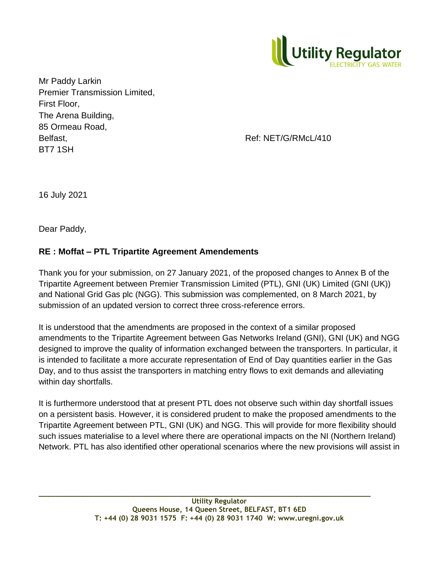

Mr Paddy Larkin Premier Transmission Limited, First Floor, The Arena Building, 85 Ormeau Road, Belfast, Belfast, Ref: NET/G/RMcL/410 BT7 1SH

16 July 2021

Dear Paddy,

## **RE : Moffat – PTL Tripartite Agreement Amendements**

Thank you for your submission, on 27 January 2021, of the proposed changes to Annex B of the Tripartite Agreement between Premier Transmission Limited (PTL), GNI (UK) Limited (GNI (UK)) and National Grid Gas plc (NGG). This submission was complemented, on 8 March 2021, by submission of an updated version to correct three cross-reference errors.

It is understood that the amendments are proposed in the context of a similar proposed amendments to the Tripartite Agreement between Gas Networks Ireland (GNI), GNI (UK) and NGG designed to improve the quality of information exchanged between the transporters. In particular, it is intended to facilitate a more accurate representation of End of Day quantities earlier in the Gas Day, and to thus assist the transporters in matching entry flows to exit demands and alleviating within day shortfalls.

It is furthermore understood that at present PTL does not observe such within day shortfall issues on a persistent basis. However, it is considered prudent to make the proposed amendments to the Tripartite Agreement between PTL, GNI (UK) and NGG. This will provide for more flexibility should such issues materialise to a level where there are operational impacts on the NI (Northern Ireland) Network. PTL has also identified other operational scenarios where the new provisions will assist in